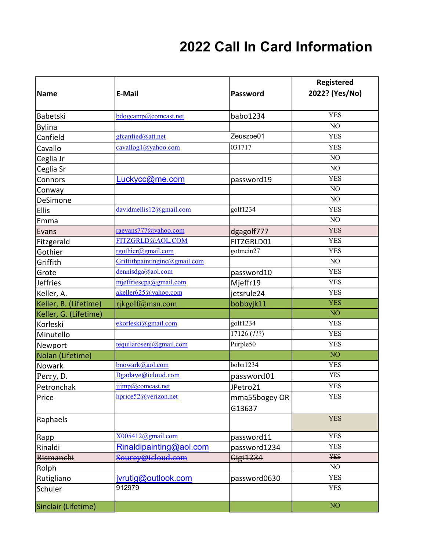## **2022 Call In Card Information**

| <b>Name</b>           | <b>E-Mail</b>                       | Password                | Registered<br>2022? (Yes/No) |
|-----------------------|-------------------------------------|-------------------------|------------------------------|
| Babetski              | bdogcamp@comcast.net                | babo1234                | <b>YES</b>                   |
| <b>Bylina</b>         |                                     |                         | NO                           |
| Canfield              | gfcanfied@att.net                   | Zeuszoe01               | <b>YES</b>                   |
| Cavallo               | cavallog1@yahoo.com                 | 031717                  | <b>YES</b>                   |
| Ceglia Jr             |                                     |                         | NO                           |
| Ceglia Sr             |                                     |                         | NO                           |
| Connors               | Luckycc@me.com                      | password19              | <b>YES</b>                   |
| Conway                |                                     |                         | NO                           |
| DeSimone              |                                     |                         | NO                           |
| <b>Ellis</b>          | davidmellis12@gmail.com             | golf1234                | <b>YES</b>                   |
| Emma                  |                                     |                         | NO                           |
| Evans                 | raevans777@yahoo.com                | dgagolf777              | <b>YES</b>                   |
| Fitzgerald            | FITZGRLD@AOL.COM                    | FITZGRLD01              | <b>YES</b>                   |
| Gothier               | rgothier@gmail.com                  | gotmein27               | <b>YES</b>                   |
| Griffith              | Griffithpaintinginc@gmail.com       |                         | NO                           |
| Grote                 | $d$ ennisdga@aol.com                | password10              | <b>YES</b>                   |
| <b>Jeffries</b>       | mjeffriescpa@gmail.com              | Mjeffr19                | <b>YES</b>                   |
| Keller, A.            | akeller625@yahoo.com                | jetsrule24              | <b>YES</b>                   |
| Keller, B. (Lifetime) | rjkgolf@msn.com                     | bobbyjk11               | <b>YES</b>                   |
| Keller, G. (Lifetime) |                                     |                         | NO <sub>1</sub>              |
| Korleski              | ekorleski@gmail.com                 | golf1234                | <b>YES</b>                   |
| Minutello             |                                     | 17126 (???)             | <b>YES</b>                   |
| Newport               | tequilarosenj@gmail.com             | Purple50                | <b>YES</b>                   |
| Nolan (Lifetime)      |                                     |                         | NO <sub>1</sub>              |
| Nowark                | bnowark@aol.com                     | bobn1234                | <b>YES</b>                   |
| Perry, D.             | Dgadave@icloud.com                  | password01              | <b>YES</b>                   |
| Petronchak            | ijjmp@comcast.net                   | JPetro21                | <b>YES</b>                   |
| Price                 | $hprice52$ ( <i>a</i> ) verizon.net | mma55bogey OR<br>G13637 | <b>YES</b>                   |
| Raphaels              |                                     |                         | <b>YES</b>                   |
| Rapp                  | X005412@gmail.com                   | password11              | <b>YES</b>                   |
| Rinaldi               | Rinaldipairting@aol.com             | password1234            | <b>YES</b>                   |
| Rismanchi             | Sourey@icloud.com                   | Gigi1234                | <b>YES</b>                   |
| Rolph                 |                                     |                         | NO                           |
| Rutigliano            | jvrutig@outlook.com                 | password0630            | <b>YES</b>                   |
| Schuler               | 912979                              |                         | <b>YES</b>                   |
| Sinclair (Lifetime)   |                                     |                         | NO <sub>1</sub>              |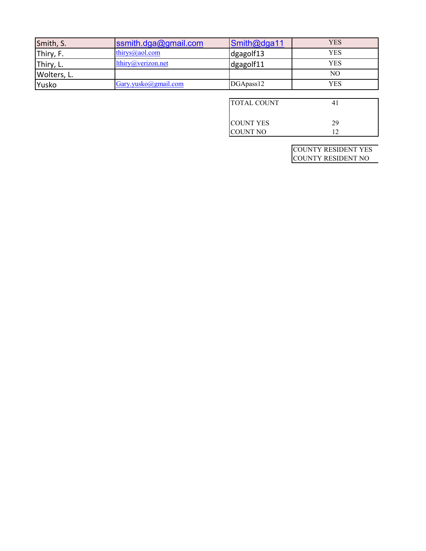| Smith, S.   | $\mathsf{I}$ ssmith.dga@gmail.com | $\mathsf{Smith@dga11}$ | <b>YES</b> |
|-------------|-----------------------------------|------------------------|------------|
| Thiry, F.   | thirys $@$ aol.com                | dgagolf13              | YES        |
| Thiry, L.   | lthiry@verizon.net                | dgagolf11              | YES        |
| Wolters, L. |                                   |                        | NО         |
| Yusko       | Gary.yusko@gmail.com              | DGApass12              | YES        |

| <b>ITOTAL COUNT</b> |    |
|---------------------|----|
| <b>ICOUNT YES</b>   | 29 |
| <b>COUNT NO</b>     |    |

COUNTY RESIDENT YES COUNTY RESIDENT NO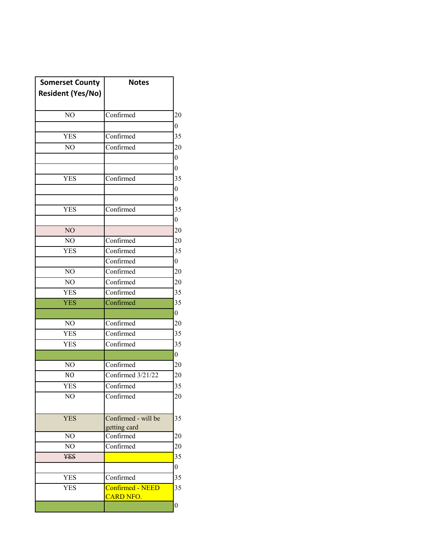| <b>Somerset County</b>   | <b>Notes</b>        |                  |
|--------------------------|---------------------|------------------|
| <b>Resident (Yes/No)</b> |                     |                  |
|                          |                     |                  |
| NO                       | Confirmed           | 20               |
|                          |                     | $\boldsymbol{0}$ |
| <b>YES</b>               | Confirmed           | 35               |
| NO                       | Confirmed           | 20               |
|                          |                     | $\boldsymbol{0}$ |
|                          |                     | $\boldsymbol{0}$ |
| <b>YES</b>               | Confirmed           | 35               |
|                          |                     | 0                |
|                          |                     | 0                |
| <b>YES</b>               | Confirmed           | 35               |
|                          |                     | 0                |
| N <sub>O</sub>           |                     | 20               |
| NO                       | Confirmed           | 20               |
| <b>YES</b>               | Confirmed           | 35               |
|                          | Confirmed           | $\overline{0}$   |
| NO                       | Confirmed           | 20               |
| NO                       | Confirmed           | 20               |
| <b>YES</b>               | Confirmed           | 35               |
| <b>YES</b>               | Confirmed           | 35               |
|                          |                     | $\overline{0}$   |
| NO                       | Confirmed           | 20               |
| <b>YES</b>               | Confirmed           | 35               |
| <b>YES</b>               | Confirmed           | 35               |
|                          |                     | $\overline{0}$   |
| NO                       | Confirmed           | 20               |
| N <sub>O</sub>           | Confirmed 3/21/22   | 20               |
| YES                      | Confirmed           | 35               |
| NO                       | Confirmed           | 20               |
|                          |                     |                  |
| <b>YES</b>               | Confirmed - will be | 35               |
|                          | getting card        |                  |
| NO                       | Confirmed           | 20               |
| NO                       | Confirmed           | 20               |
| <b>YES</b>               |                     | 35               |
|                          |                     | $\overline{0}$   |
| <b>YES</b>               | Confirmed           | 35               |
| <b>YES</b>               | Confirmed - NEED    | 35               |
|                          | <b>CARD NFO.</b>    |                  |
|                          |                     | $\boldsymbol{0}$ |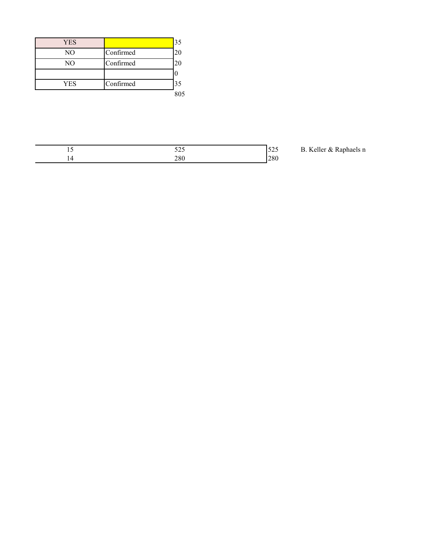| <b>YES</b> |           | 35  |
|------------|-----------|-----|
| NO         | Confirmed | 20  |
| NO         | Confirmed | 20  |
|            |           |     |
| <b>YES</b> | Confirmed | 35  |
|            |           | 805 |

| <br>$-\sim -$<br>--- |               |
|----------------------|---------------|
| າດ<br>↗<br>--        | $\sim$ $\sim$ |

B. Keller & Raphaels n